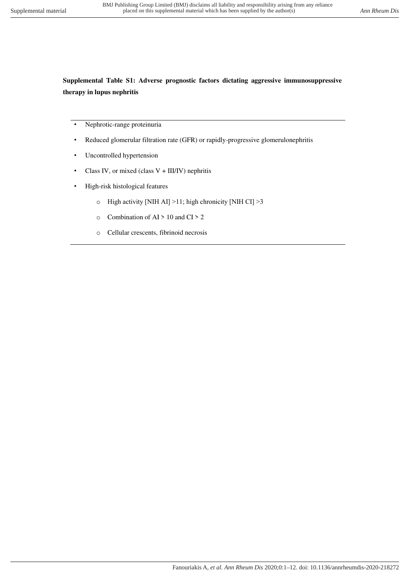## **Supplemental Table S1: Adverse prognostic factors dictating aggressive immunosuppressive therapy in lupus nephritis**

- Nephrotic-range proteinuria
- Reduced glomerular filtration rate (GFR) or rapidly-progressive glomerulonephritis
- Uncontrolled hypertension
- Class IV, or mixed (class  $V + III/IV$ ) nephritis
- High-risk histological features
	- o High activity [ΝΙΗ AI] >11; high chronicity [ΝΙΗ CI] >3
	- $\circ$  Combination of AI > 10 and CI > 2
	- o Cellular crescents, fibrinoid necrosis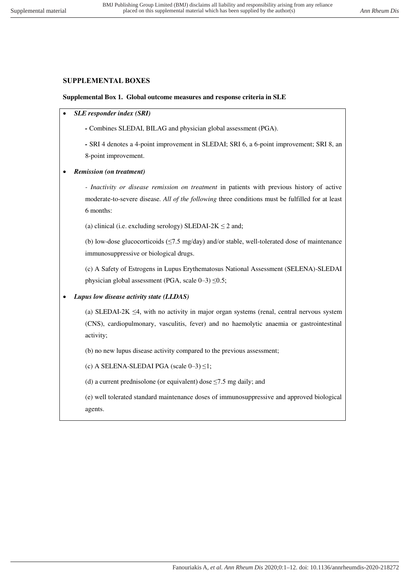## **SUPPLEMENTAL BOXES**

## **Supplemental Box 1. Global outcome measures and response criteria in SLE**

- *SLE responder index (SRI)*
	- Combines SLEDAI, BILAG and physician global assessment (PGA).

*-* SRI 4 denotes a 4-point improvement in SLEDAI; SRI 6, a 6-point improvement; SRI 8, an 8-point improvement.

*Remission (on treatment)* 

*- Inactivity or disease remission on treatment* in patients with previous history of active moderate-to-severe disease*. All of the following* three conditions must be fulfilled for at least 6 months:

(a) clinical (i.e. excluding serology) SLEDAI-2K  $\leq$  2 and;

(b) low-dose glucocorticoids ( $\leq$ 7.5 mg/day) and/or stable, well-tolerated dose of maintenance immunosuppressive or biological drugs.

(c) A Safety of Estrogens in Lupus Erythematosus National Assessment (SELENA)-SLEDAI physician global assessment (PGA, scale 0–3) ≤0.5;

*Lupus low disease activity state (LLDAS)*

(a) SLEDAI-2K  $\leq$ 4, with no activity in major organ systems (renal, central nervous system (CNS), cardiopulmonary, vasculitis, fever) and no haemolytic anaemia or gastrointestinal activity;

(b) no new lupus disease activity compared to the previous assessment;

(c) A SELENA-SLEDAI PGA (scale  $0-3$ )  $\leq$ 1;

(d) a current prednisolone (or equivalent) dose  $\leq$ 7.5 mg daily; and

(e) well tolerated standard maintenance doses of immunosuppressive and approved biological agents.